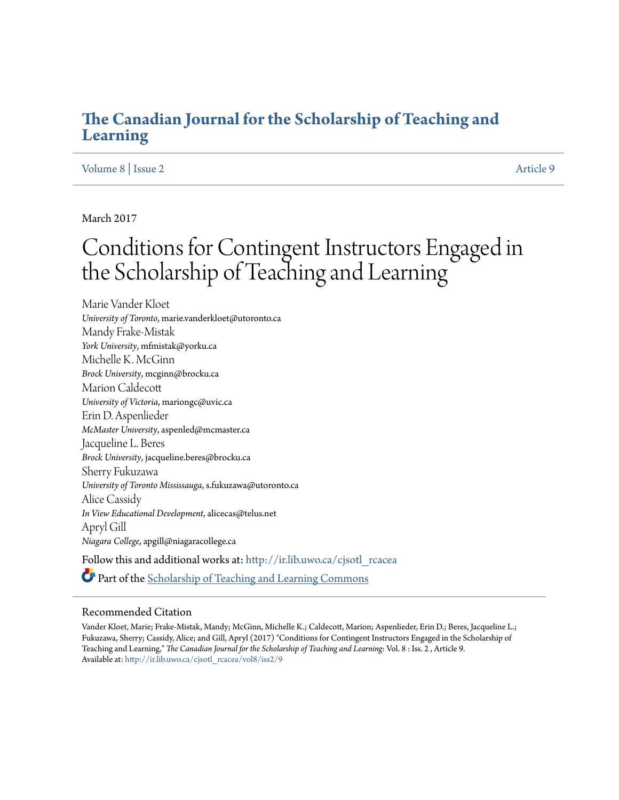### **[The Canadian Journal for the Scholarship of Teaching and](http://ir.lib.uwo.ca/cjsotl_rcacea?utm_source=ir.lib.uwo.ca%2Fcjsotl_rcacea%2Fvol8%2Fiss2%2F9&utm_medium=PDF&utm_campaign=PDFCoverPages) [Learning](http://ir.lib.uwo.ca/cjsotl_rcacea?utm_source=ir.lib.uwo.ca%2Fcjsotl_rcacea%2Fvol8%2Fiss2%2F9&utm_medium=PDF&utm_campaign=PDFCoverPages)**

#### [Volume 8](http://ir.lib.uwo.ca/cjsotl_rcacea/vol8?utm_source=ir.lib.uwo.ca%2Fcjsotl_rcacea%2Fvol8%2Fiss2%2F9&utm_medium=PDF&utm_campaign=PDFCoverPages) | [Issue 2](http://ir.lib.uwo.ca/cjsotl_rcacea/vol8/iss2?utm_source=ir.lib.uwo.ca%2Fcjsotl_rcacea%2Fvol8%2Fiss2%2F9&utm_medium=PDF&utm_campaign=PDFCoverPages) [Article 9](http://ir.lib.uwo.ca/cjsotl_rcacea/vol8/iss2/9?utm_source=ir.lib.uwo.ca%2Fcjsotl_rcacea%2Fvol8%2Fiss2%2F9&utm_medium=PDF&utm_campaign=PDFCoverPages) | Article 9 | Article 9 | Article 9 | Article 9 | Article 9 | Article 9 | Article 9 | Article 9 | Article 9 | Article 9 | Article 9 | Article 9 | Article 9 | Article 9 | Article 9 | Article 9 |

March 2017

# Conditions for Contingent Instructors Engaged in the Scholarship of Teaching and Learning

Marie Vander Kloet *University of Toronto*, marie.vanderkloet@utoronto.ca Mandy Frake-Mistak *York University*, mfmistak@yorku.ca Michelle K. McGinn *Brock University*, mcginn@brocku.ca Marion Caldecott *University of Victoria*, mariongc@uvic.ca Erin D. Aspenlieder *McMaster University*, aspenled@mcmaster.ca Jacqueline L. Beres *Brock University*, jacqueline.beres@brocku.ca Sherry Fukuzawa *University of Toronto Mississauga*, s.fukuzawa@utoronto.ca Alice Cassidy *In View Educational Development*, alicecas@telus.net Apryl Gill *Niagara College*, apgill@niagaracollege.ca Follow this and additional works at: [http://ir.lib.uwo.ca/cjsotl\\_rcacea](http://ir.lib.uwo.ca/cjsotl_rcacea?utm_source=ir.lib.uwo.ca%2Fcjsotl_rcacea%2Fvol8%2Fiss2%2F9&utm_medium=PDF&utm_campaign=PDFCoverPages) Part of the [Scholarship of Teaching and Learning Commons](http://network.bepress.com/hgg/discipline/1328?utm_source=ir.lib.uwo.ca%2Fcjsotl_rcacea%2Fvol8%2Fiss2%2F9&utm_medium=PDF&utm_campaign=PDFCoverPages)

#### Recommended Citation

Vander Kloet, Marie; Frake-Mistak, Mandy; McGinn, Michelle K.; Caldecott, Marion; Aspenlieder, Erin D.; Beres, Jacqueline L.; Fukuzawa, Sherry; Cassidy, Alice; and Gill, Apryl (2017) "Conditions for Contingent Instructors Engaged in the Scholarship of Teaching and Learning," *The Canadian Journal for the Scholarship of Teaching and Learning*: Vol. 8 : Iss. 2 , Article 9. Available at: [http://ir.lib.uwo.ca/cjsotl\\_rcacea/vol8/iss2/9](http://ir.lib.uwo.ca/cjsotl_rcacea/vol8/iss2/9?utm_source=ir.lib.uwo.ca%2Fcjsotl_rcacea%2Fvol8%2Fiss2%2F9&utm_medium=PDF&utm_campaign=PDFCoverPages)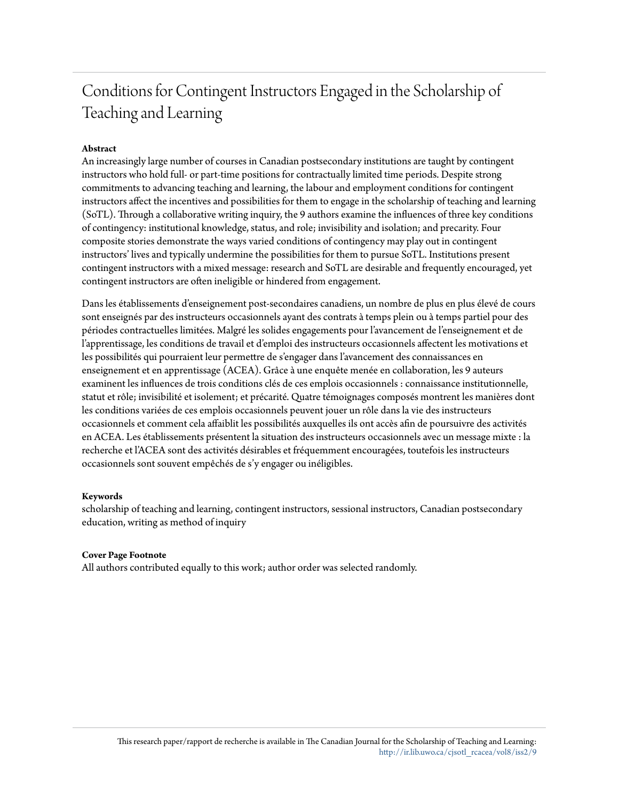## Conditions for Contingent Instructors Engaged in the Scholarship of Teaching and Learning

#### **Abstract**

An increasingly large number of courses in Canadian postsecondary institutions are taught by contingent instructors who hold full- or part-time positions for contractually limited time periods. Despite strong commitments to advancing teaching and learning, the labour and employment conditions for contingent instructors affect the incentives and possibilities for them to engage in the scholarship of teaching and learning (SoTL). Through a collaborative writing inquiry, the 9 authors examine the influences of three key conditions of contingency: institutional knowledge, status, and role; invisibility and isolation; and precarity. Four composite stories demonstrate the ways varied conditions of contingency may play out in contingent instructors' lives and typically undermine the possibilities for them to pursue SoTL. Institutions present contingent instructors with a mixed message: research and SoTL are desirable and frequently encouraged, yet contingent instructors are often ineligible or hindered from engagement.

Dans les établissements d'enseignement post-secondaires canadiens, un nombre de plus en plus élevé de cours sont enseignés par des instructeurs occasionnels ayant des contrats à temps plein ou à temps partiel pour des périodes contractuelles limitées. Malgré les solides engagements pour l'avancement de l'enseignement et de l'apprentissage, les conditions de travail et d'emploi des instructeurs occasionnels affectent les motivations et les possibilités qui pourraient leur permettre de s'engager dans l'avancement des connaissances en enseignement et en apprentissage (ACEA). Grâce à une enquête menée en collaboration, les 9 auteurs examinent les influences de trois conditions clés de ces emplois occasionnels : connaissance institutionnelle, statut et rôle; invisibilité et isolement; et précarité. Quatre témoignages composés montrent les manières dont les conditions variées de ces emplois occasionnels peuvent jouer un rôle dans la vie des instructeurs occasionnels et comment cela affaiblit les possibilités auxquelles ils ont accès afin de poursuivre des activités en ACEA. Les établissements présentent la situation des instructeurs occasionnels avec un message mixte : la recherche et l'ACEA sont des activités désirables et fréquemment encouragées, toutefois les instructeurs occasionnels sont souvent empêchés de s'y engager ou inéligibles.

#### **Keywords**

scholarship of teaching and learning, contingent instructors, sessional instructors, Canadian postsecondary education, writing as method of inquiry

#### **Cover Page Footnote**

All authors contributed equally to this work; author order was selected randomly.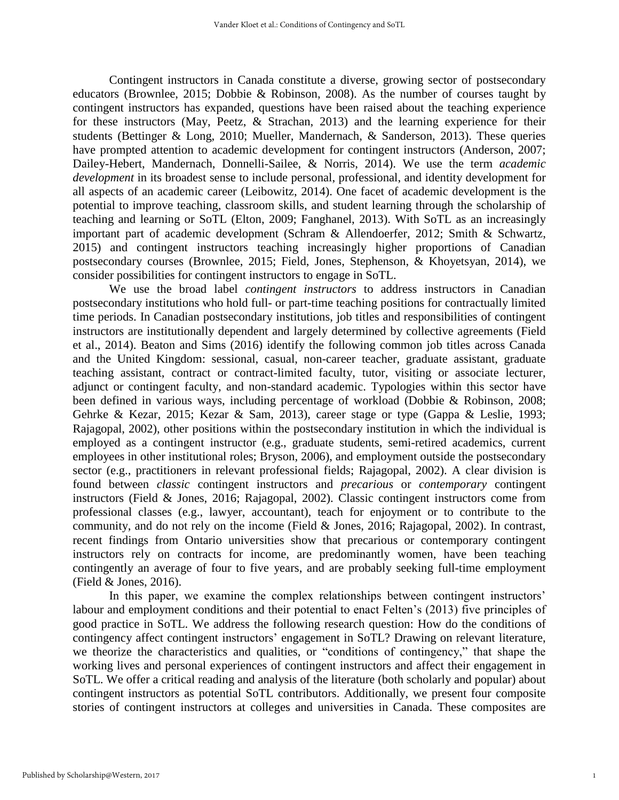Contingent instructors in Canada constitute a diverse, growing sector of postsecondary educators (Brownlee, 2015; Dobbie & Robinson, 2008). As the number of courses taught by contingent instructors has expanded, questions have been raised about the teaching experience for these instructors (May, Peetz, & Strachan, 2013) and the learning experience for their students (Bettinger & Long, 2010; Mueller, Mandernach, & Sanderson, 2013). These queries have prompted attention to academic development for contingent instructors (Anderson, 2007; Dailey-Hebert, Mandernach, Donnelli-Sailee, & Norris, 2014). We use the term *academic development* in its broadest sense to include personal, professional, and identity development for all aspects of an academic career (Leibowitz, 2014). One facet of academic development is the potential to improve teaching, classroom skills, and student learning through the scholarship of teaching and learning or SoTL (Elton, 2009; Fanghanel, 2013). With SoTL as an increasingly important part of academic development (Schram & Allendoerfer, 2012; Smith & Schwartz, 2015) and contingent instructors teaching increasingly higher proportions of Canadian postsecondary courses (Brownlee, 2015; Field, Jones, Stephenson, & Khoyetsyan, 2014), we consider possibilities for contingent instructors to engage in SoTL.

We use the broad label *contingent instructors* to address instructors in Canadian postsecondary institutions who hold full- or part-time teaching positions for contractually limited time periods. In Canadian postsecondary institutions, job titles and responsibilities of contingent instructors are institutionally dependent and largely determined by collective agreements (Field et al., 2014). Beaton and Sims (2016) identify the following common job titles across Canada and the United Kingdom: sessional, casual, non-career teacher, graduate assistant, graduate teaching assistant, contract or contract-limited faculty, tutor, visiting or associate lecturer, adjunct or contingent faculty, and non-standard academic. Typologies within this sector have been defined in various ways, including percentage of workload (Dobbie & Robinson, 2008; Gehrke & Kezar, 2015; Kezar & Sam, 2013), career stage or type (Gappa & Leslie, 1993; Rajagopal, 2002), other positions within the postsecondary institution in which the individual is employed as a contingent instructor (e.g., graduate students, semi-retired academics, current employees in other institutional roles; Bryson, 2006), and employment outside the postsecondary sector (e.g., practitioners in relevant professional fields; Rajagopal, 2002). A clear division is found between *classic* contingent instructors and *precarious* or *contemporary* contingent instructors (Field & Jones, 2016; Rajagopal, 2002). Classic contingent instructors come from professional classes (e.g., lawyer, accountant), teach for enjoyment or to contribute to the community, and do not rely on the income (Field & Jones, 2016; Rajagopal, 2002). In contrast, recent findings from Ontario universities show that precarious or contemporary contingent instructors rely on contracts for income, are predominantly women, have been teaching contingently an average of four to five years, and are probably seeking full-time employment (Field & Jones, 2016).

In this paper, we examine the complex relationships between contingent instructors' labour and employment conditions and their potential to enact Felten's (2013) five principles of good practice in SoTL. We address the following research question: How do the conditions of contingency affect contingent instructors' engagement in SoTL? Drawing on relevant literature, we theorize the characteristics and qualities, or "conditions of contingency," that shape the working lives and personal experiences of contingent instructors and affect their engagement in SoTL. We offer a critical reading and analysis of the literature (both scholarly and popular) about contingent instructors as potential SoTL contributors. Additionally, we present four composite stories of contingent instructors at colleges and universities in Canada. These composites are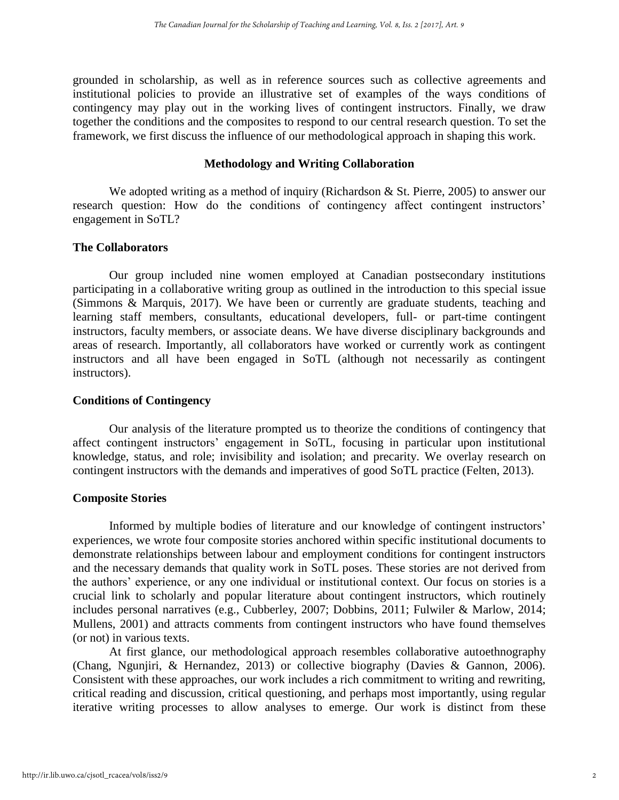grounded in scholarship, as well as in reference sources such as collective agreements and institutional policies to provide an illustrative set of examples of the ways conditions of contingency may play out in the working lives of contingent instructors. Finally, we draw together the conditions and the composites to respond to our central research question. To set the framework, we first discuss the influence of our methodological approach in shaping this work.

#### **Methodology and Writing Collaboration**

We adopted writing as a method of inquiry (Richardson  $\&$  St. Pierre, 2005) to answer our research question: How do the conditions of contingency affect contingent instructors' engagement in SoTL?

#### **The Collaborators**

Our group included nine women employed at Canadian postsecondary institutions participating in a collaborative writing group as outlined in the introduction to this special issue (Simmons & Marquis, 2017). We have been or currently are graduate students, teaching and learning staff members, consultants, educational developers, full- or part-time contingent instructors, faculty members, or associate deans. We have diverse disciplinary backgrounds and areas of research. Importantly, all collaborators have worked or currently work as contingent instructors and all have been engaged in SoTL (although not necessarily as contingent instructors).

#### **Conditions of Contingency**

Our analysis of the literature prompted us to theorize the conditions of contingency that affect contingent instructors' engagement in SoTL, focusing in particular upon institutional knowledge, status, and role; invisibility and isolation; and precarity. We overlay research on contingent instructors with the demands and imperatives of good SoTL practice (Felten, 2013).

#### **Composite Stories**

Informed by multiple bodies of literature and our knowledge of contingent instructors' experiences, we wrote four composite stories anchored within specific institutional documents to demonstrate relationships between labour and employment conditions for contingent instructors and the necessary demands that quality work in SoTL poses. These stories are not derived from the authors' experience, or any one individual or institutional context. Our focus on stories is a crucial link to scholarly and popular literature about contingent instructors, which routinely includes personal narratives (e.g., Cubberley, 2007; Dobbins, 2011; Fulwiler & Marlow, 2014; Mullens, 2001) and attracts comments from contingent instructors who have found themselves (or not) in various texts.

At first glance, our methodological approach resembles collaborative autoethnography (Chang, Ngunjiri, & Hernandez, 2013) or collective biography (Davies & Gannon, 2006). Consistent with these approaches, our work includes a rich commitment to writing and rewriting, critical reading and discussion, critical questioning, and perhaps most importantly, using regular iterative writing processes to allow analyses to emerge. Our work is distinct from these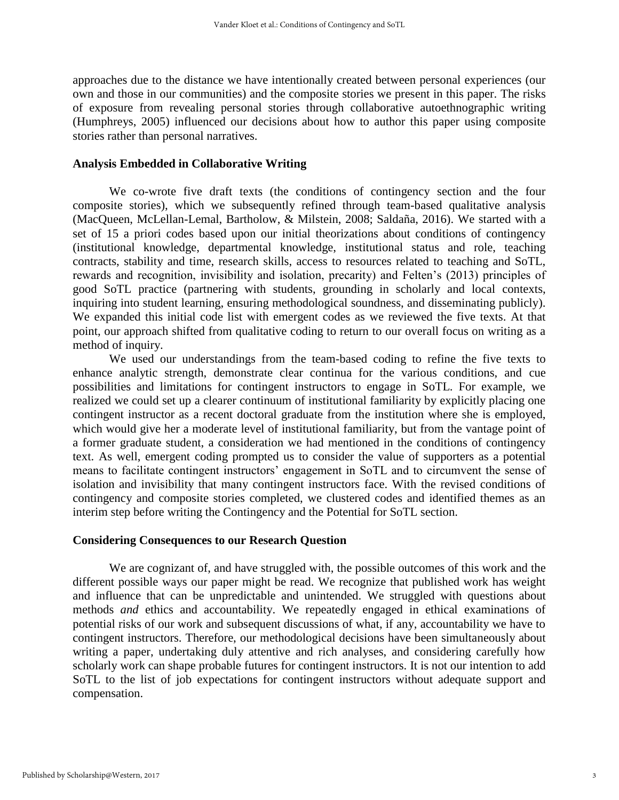approaches due to the distance we have intentionally created between personal experiences (our own and those in our communities) and the composite stories we present in this paper. The risks of exposure from revealing personal stories through collaborative autoethnographic writing (Humphreys, 2005) influenced our decisions about how to author this paper using composite stories rather than personal narratives.

#### **Analysis Embedded in Collaborative Writing**

We co-wrote five draft texts (the conditions of contingency section and the four composite stories), which we subsequently refined through team-based qualitative analysis (MacQueen, McLellan-Lemal, Bartholow, & Milstein, 2008; Saldaña, 2016). We started with a set of 15 a priori codes based upon our initial theorizations about conditions of contingency (institutional knowledge, departmental knowledge, institutional status and role, teaching contracts, stability and time, research skills, access to resources related to teaching and SoTL, rewards and recognition, invisibility and isolation, precarity) and Felten's (2013) principles of good SoTL practice (partnering with students, grounding in scholarly and local contexts, inquiring into student learning, ensuring methodological soundness, and disseminating publicly). We expanded this initial code list with emergent codes as we reviewed the five texts. At that point, our approach shifted from qualitative coding to return to our overall focus on writing as a method of inquiry.

We used our understandings from the team-based coding to refine the five texts to enhance analytic strength, demonstrate clear continua for the various conditions, and cue possibilities and limitations for contingent instructors to engage in SoTL. For example, we realized we could set up a clearer continuum of institutional familiarity by explicitly placing one contingent instructor as a recent doctoral graduate from the institution where she is employed, which would give her a moderate level of institutional familiarity, but from the vantage point of a former graduate student, a consideration we had mentioned in the conditions of contingency text. As well, emergent coding prompted us to consider the value of supporters as a potential means to facilitate contingent instructors' engagement in SoTL and to circumvent the sense of isolation and invisibility that many contingent instructors face. With the revised conditions of contingency and composite stories completed, we clustered codes and identified themes as an interim step before writing the Contingency and the Potential for SoTL section.

#### **Considering Consequences to our Research Question**

We are cognizant of, and have struggled with, the possible outcomes of this work and the different possible ways our paper might be read. We recognize that published work has weight and influence that can be unpredictable and unintended. We struggled with questions about methods *and* ethics and accountability. We repeatedly engaged in ethical examinations of potential risks of our work and subsequent discussions of what, if any, accountability we have to contingent instructors. Therefore, our methodological decisions have been simultaneously about writing a paper, undertaking duly attentive and rich analyses, and considering carefully how scholarly work can shape probable futures for contingent instructors. It is not our intention to add SoTL to the list of job expectations for contingent instructors without adequate support and compensation.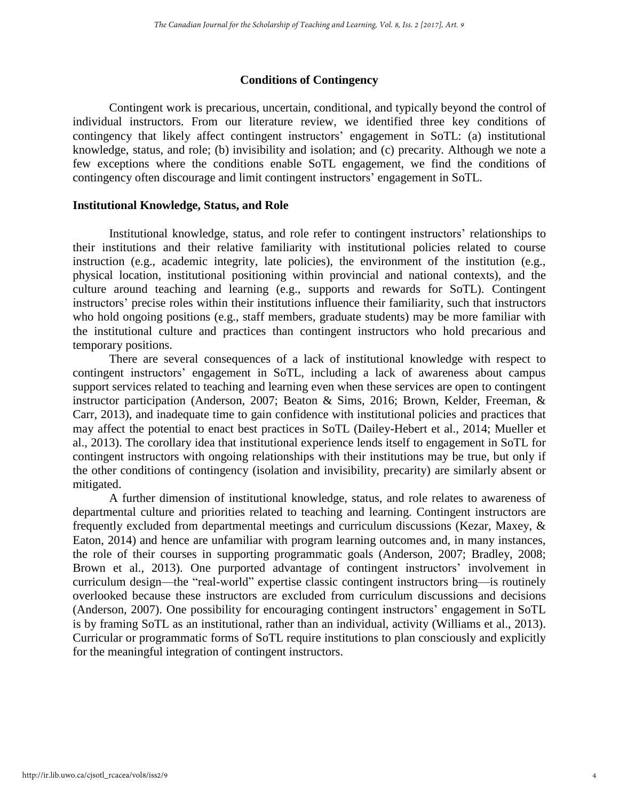#### **Conditions of Contingency**

Contingent work is precarious, uncertain, conditional, and typically beyond the control of individual instructors. From our literature review, we identified three key conditions of contingency that likely affect contingent instructors' engagement in SoTL: (a) institutional knowledge, status, and role; (b) invisibility and isolation; and (c) precarity. Although we note a few exceptions where the conditions enable SoTL engagement, we find the conditions of contingency often discourage and limit contingent instructors' engagement in SoTL.

#### **Institutional Knowledge, Status, and Role**

Institutional knowledge, status, and role refer to contingent instructors' relationships to their institutions and their relative familiarity with institutional policies related to course instruction (e.g., academic integrity, late policies), the environment of the institution (e.g., physical location, institutional positioning within provincial and national contexts), and the culture around teaching and learning (e.g., supports and rewards for SoTL). Contingent instructors' precise roles within their institutions influence their familiarity, such that instructors who hold ongoing positions (e.g., staff members, graduate students) may be more familiar with the institutional culture and practices than contingent instructors who hold precarious and temporary positions.

There are several consequences of a lack of institutional knowledge with respect to contingent instructors' engagement in SoTL, including a lack of awareness about campus support services related to teaching and learning even when these services are open to contingent instructor participation (Anderson, 2007; Beaton & Sims, 2016; Brown, Kelder, Freeman, & Carr, 2013), and inadequate time to gain confidence with institutional policies and practices that may affect the potential to enact best practices in SoTL (Dailey-Hebert et al., 2014; Mueller et al., 2013). The corollary idea that institutional experience lends itself to engagement in SoTL for contingent instructors with ongoing relationships with their institutions may be true, but only if the other conditions of contingency (isolation and invisibility, precarity) are similarly absent or mitigated.

A further dimension of institutional knowledge, status, and role relates to awareness of departmental culture and priorities related to teaching and learning. Contingent instructors are frequently excluded from departmental meetings and curriculum discussions (Kezar, Maxey, & Eaton, 2014) and hence are unfamiliar with program learning outcomes and, in many instances, the role of their courses in supporting programmatic goals (Anderson, 2007; Bradley, 2008; Brown et al., 2013). One purported advantage of contingent instructors' involvement in curriculum design—the "real-world" expertise classic contingent instructors bring—is routinely overlooked because these instructors are excluded from curriculum discussions and decisions (Anderson, 2007). One possibility for encouraging contingent instructors' engagement in SoTL is by framing SoTL as an institutional, rather than an individual, activity (Williams et al., 2013). Curricular or programmatic forms of SoTL require institutions to plan consciously and explicitly for the meaningful integration of contingent instructors.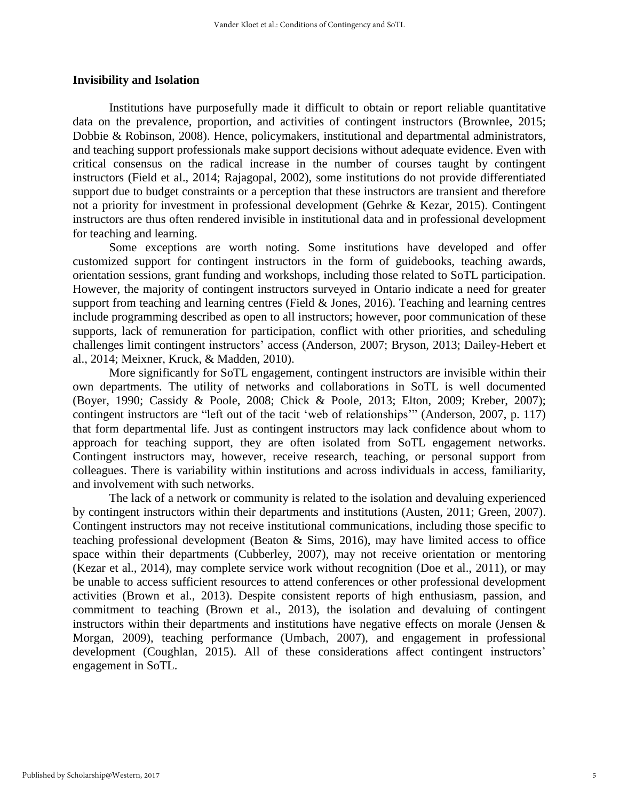#### **Invisibility and Isolation**

Institutions have purposefully made it difficult to obtain or report reliable quantitative data on the prevalence, proportion, and activities of contingent instructors (Brownlee, 2015; Dobbie & Robinson, 2008). Hence, policymakers, institutional and departmental administrators, and teaching support professionals make support decisions without adequate evidence. Even with critical consensus on the radical increase in the number of courses taught by contingent instructors (Field et al., 2014; Rajagopal, 2002), some institutions do not provide differentiated support due to budget constraints or a perception that these instructors are transient and therefore not a priority for investment in professional development (Gehrke & Kezar, 2015). Contingent instructors are thus often rendered invisible in institutional data and in professional development for teaching and learning.

Some exceptions are worth noting. Some institutions have developed and offer customized support for contingent instructors in the form of guidebooks, teaching awards, orientation sessions, grant funding and workshops, including those related to SoTL participation. However, the majority of contingent instructors surveyed in Ontario indicate a need for greater support from teaching and learning centres (Field & Jones, 2016). Teaching and learning centres include programming described as open to all instructors; however, poor communication of these supports, lack of remuneration for participation, conflict with other priorities, and scheduling challenges limit contingent instructors' access (Anderson, 2007; Bryson, 2013; Dailey-Hebert et al., 2014; Meixner, Kruck, & Madden, 2010).

More significantly for SoTL engagement, contingent instructors are invisible within their own departments. The utility of networks and collaborations in SoTL is well documented (Boyer, 1990; Cassidy & Poole, 2008; Chick & Poole, 2013; Elton, 2009; Kreber, 2007); contingent instructors are "left out of the tacit 'web of relationships'" (Anderson, 2007, p. 117) that form departmental life. Just as contingent instructors may lack confidence about whom to approach for teaching support, they are often isolated from SoTL engagement networks. Contingent instructors may, however, receive research, teaching, or personal support from colleagues. There is variability within institutions and across individuals in access, familiarity, and involvement with such networks.

The lack of a network or community is related to the isolation and devaluing experienced by contingent instructors within their departments and institutions (Austen, 2011; Green, 2007). Contingent instructors may not receive institutional communications, including those specific to teaching professional development (Beaton & Sims, 2016), may have limited access to office space within their departments (Cubberley, 2007), may not receive orientation or mentoring (Kezar et al., 2014), may complete service work without recognition (Doe et al., 2011), or may be unable to access sufficient resources to attend conferences or other professional development activities (Brown et al., 2013). Despite consistent reports of high enthusiasm, passion, and commitment to teaching (Brown et al., 2013), the isolation and devaluing of contingent instructors within their departments and institutions have negative effects on morale (Jensen & Morgan, 2009), teaching performance (Umbach, 2007), and engagement in professional development (Coughlan, 2015). All of these considerations affect contingent instructors' engagement in SoTL.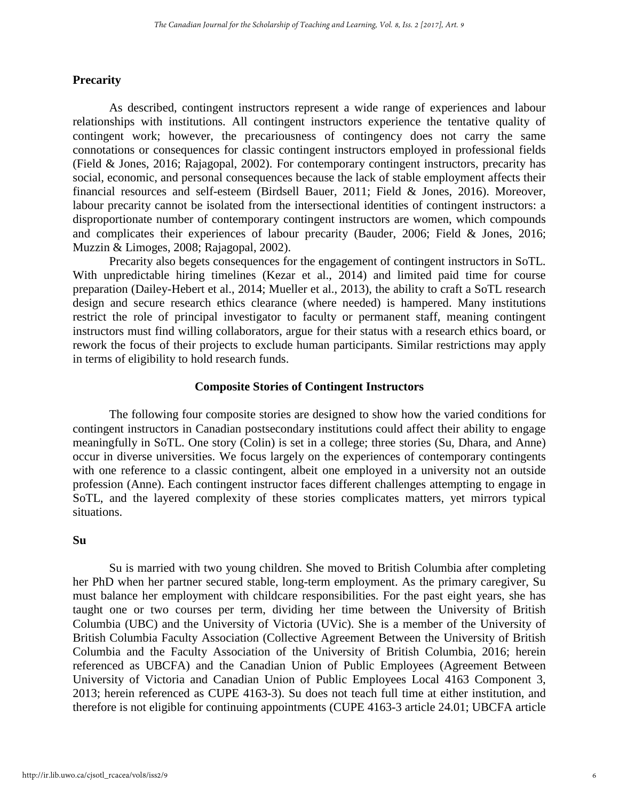#### **Precarity**

As described, contingent instructors represent a wide range of experiences and labour relationships with institutions. All contingent instructors experience the tentative quality of contingent work; however, the precariousness of contingency does not carry the same connotations or consequences for classic contingent instructors employed in professional fields (Field & Jones, 2016; Rajagopal, 2002). For contemporary contingent instructors, precarity has social, economic, and personal consequences because the lack of stable employment affects their financial resources and self-esteem (Birdsell Bauer, 2011; Field & Jones, 2016). Moreover, labour precarity cannot be isolated from the intersectional identities of contingent instructors: a disproportionate number of contemporary contingent instructors are women, which compounds and complicates their experiences of labour precarity (Bauder, 2006; Field & Jones, 2016; Muzzin & Limoges, 2008; Rajagopal, 2002).

Precarity also begets consequences for the engagement of contingent instructors in SoTL. With unpredictable hiring timelines (Kezar et al., 2014) and limited paid time for course preparation (Dailey-Hebert et al., 2014; Mueller et al., 2013), the ability to craft a SoTL research design and secure research ethics clearance (where needed) is hampered. Many institutions restrict the role of principal investigator to faculty or permanent staff, meaning contingent instructors must find willing collaborators, argue for their status with a research ethics board, or rework the focus of their projects to exclude human participants. Similar restrictions may apply in terms of eligibility to hold research funds.

#### **Composite Stories of Contingent Instructors**

The following four composite stories are designed to show how the varied conditions for contingent instructors in Canadian postsecondary institutions could affect their ability to engage meaningfully in SoTL. One story (Colin) is set in a college; three stories (Su, Dhara, and Anne) occur in diverse universities. We focus largely on the experiences of contemporary contingents with one reference to a classic contingent, albeit one employed in a university not an outside profession (Anne). Each contingent instructor faces different challenges attempting to engage in SoTL, and the layered complexity of these stories complicates matters, yet mirrors typical situations.

#### **Su**

Su is married with two young children. She moved to British Columbia after completing her PhD when her partner secured stable, long-term employment. As the primary caregiver, Su must balance her employment with childcare responsibilities. For the past eight years, she has taught one or two courses per term, dividing her time between the University of British Columbia (UBC) and the University of Victoria (UVic). She is a member of the University of British Columbia Faculty Association (Collective Agreement Between the University of British Columbia and the Faculty Association of the University of British Columbia, 2016; herein referenced as UBCFA) and the Canadian Union of Public Employees (Agreement Between University of Victoria and Canadian Union of Public Employees Local 4163 Component 3, 2013; herein referenced as CUPE 4163-3). Su does not teach full time at either institution, and therefore is not eligible for continuing appointments (CUPE 4163-3 article 24.01; UBCFA article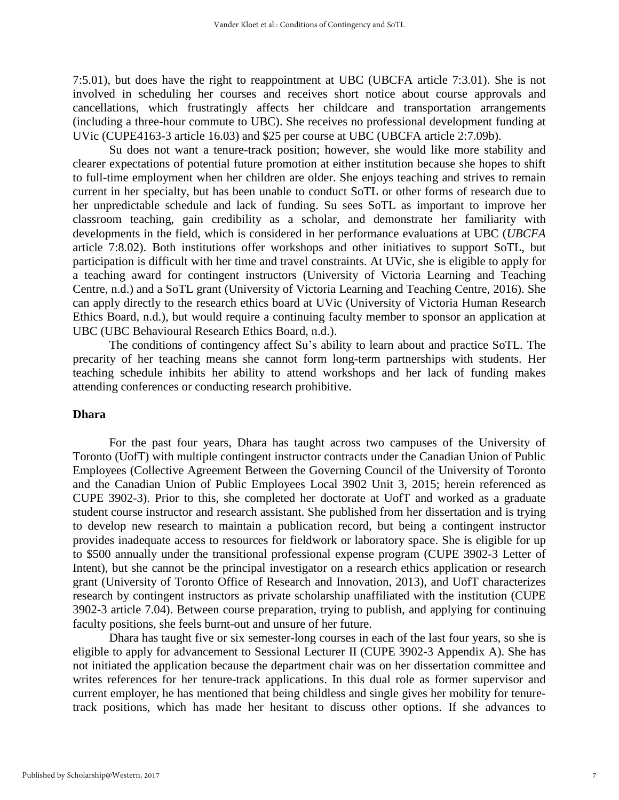7:5.01), but does have the right to reappointment at UBC (UBCFA article 7:3.01). She is not involved in scheduling her courses and receives short notice about course approvals and cancellations, which frustratingly affects her childcare and transportation arrangements (including a three-hour commute to UBC). She receives no professional development funding at UVic (CUPE4163-3 article 16.03) and \$25 per course at UBC (UBCFA article 2:7.09b).

Su does not want a tenure-track position; however, she would like more stability and clearer expectations of potential future promotion at either institution because she hopes to shift to full-time employment when her children are older. She enjoys teaching and strives to remain current in her specialty, but has been unable to conduct SoTL or other forms of research due to her unpredictable schedule and lack of funding. Su sees SoTL as important to improve her classroom teaching, gain credibility as a scholar, and demonstrate her familiarity with developments in the field, which is considered in her performance evaluations at UBC (*UBCFA* article 7:8.02). Both institutions offer workshops and other initiatives to support SoTL, but participation is difficult with her time and travel constraints. At UVic, she is eligible to apply for a teaching award for contingent instructors (University of Victoria Learning and Teaching Centre, n.d.) and a SoTL grant (University of Victoria Learning and Teaching Centre, 2016). She can apply directly to the research ethics board at UVic (University of Victoria Human Research Ethics Board, n.d.), but would require a continuing faculty member to sponsor an application at UBC (UBC Behavioural Research Ethics Board, n.d.).

The conditions of contingency affect Su's ability to learn about and practice SoTL. The precarity of her teaching means she cannot form long-term partnerships with students. Her teaching schedule inhibits her ability to attend workshops and her lack of funding makes attending conferences or conducting research prohibitive.

#### **Dhara**

For the past four years, Dhara has taught across two campuses of the University of Toronto (UofT) with multiple contingent instructor contracts under the Canadian Union of Public Employees (Collective Agreement Between the Governing Council of the University of Toronto and the Canadian Union of Public Employees Local 3902 Unit 3, 2015; herein referenced as CUPE 3902-3). Prior to this, she completed her doctorate at UofT and worked as a graduate student course instructor and research assistant. She published from her dissertation and is trying to develop new research to maintain a publication record, but being a contingent instructor provides inadequate access to resources for fieldwork or laboratory space. She is eligible for up to \$500 annually under the transitional professional expense program (CUPE 3902-3 Letter of Intent), but she cannot be the principal investigator on a research ethics application or research grant (University of Toronto Office of Research and Innovation, 2013), and UofT characterizes research by contingent instructors as private scholarship unaffiliated with the institution (CUPE 3902-3 article 7.04). Between course preparation, trying to publish, and applying for continuing faculty positions, she feels burnt-out and unsure of her future.

Dhara has taught five or six semester-long courses in each of the last four years, so she is eligible to apply for advancement to Sessional Lecturer II (CUPE 3902-3 Appendix A). She has not initiated the application because the department chair was on her dissertation committee and writes references for her tenure-track applications. In this dual role as former supervisor and current employer, he has mentioned that being childless and single gives her mobility for tenuretrack positions, which has made her hesitant to discuss other options. If she advances to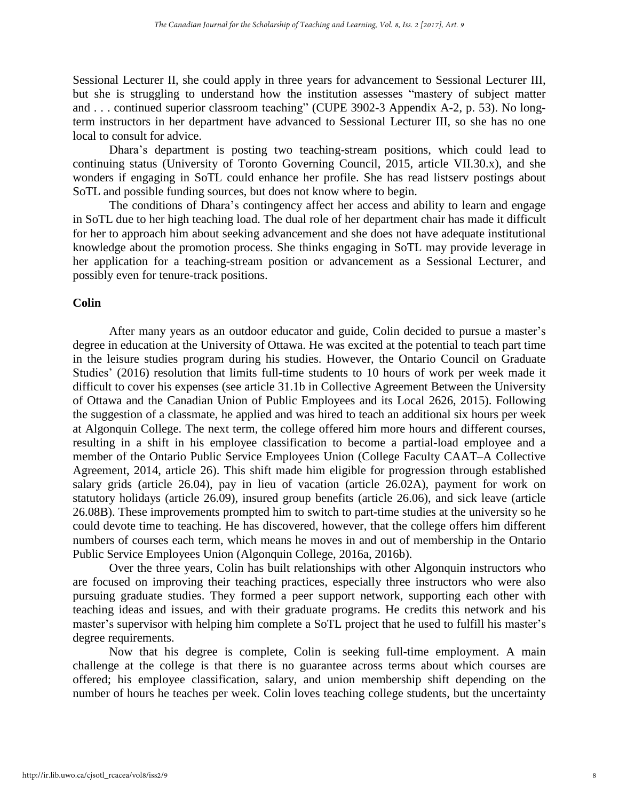Sessional Lecturer II, she could apply in three years for advancement to Sessional Lecturer III, but she is struggling to understand how the institution assesses "mastery of subject matter and . . . continued superior classroom teaching" (CUPE 3902-3 Appendix A-2, p. 53). No longterm instructors in her department have advanced to Sessional Lecturer III, so she has no one local to consult for advice.

Dhara's department is posting two teaching-stream positions, which could lead to continuing status (University of Toronto Governing Council, 2015, article VII.30.x), and she wonders if engaging in SoTL could enhance her profile. She has read listserv postings about SoTL and possible funding sources, but does not know where to begin.

The conditions of Dhara's contingency affect her access and ability to learn and engage in SoTL due to her high teaching load. The dual role of her department chair has made it difficult for her to approach him about seeking advancement and she does not have adequate institutional knowledge about the promotion process. She thinks engaging in SoTL may provide leverage in her application for a teaching-stream position or advancement as a Sessional Lecturer, and possibly even for tenure-track positions.

#### **Colin**

After many years as an outdoor educator and guide, Colin decided to pursue a master's degree in education at the University of Ottawa. He was excited at the potential to teach part time in the leisure studies program during his studies. However, the Ontario Council on Graduate Studies' (2016) resolution that limits full-time students to 10 hours of work per week made it difficult to cover his expenses (see article 31.1b in Collective Agreement Between the University of Ottawa and the Canadian Union of Public Employees and its Local 2626, 2015). Following the suggestion of a classmate, he applied and was hired to teach an additional six hours per week at Algonquin College. The next term, the college offered him more hours and different courses, resulting in a shift in his employee classification to become a partial-load employee and a member of the Ontario Public Service Employees Union (College Faculty CAAT–A Collective Agreement, 2014, article 26). This shift made him eligible for progression through established salary grids (article 26.04), pay in lieu of vacation (article 26.02A), payment for work on statutory holidays (article 26.09), insured group benefits (article 26.06), and sick leave (article 26.08B). These improvements prompted him to switch to part-time studies at the university so he could devote time to teaching. He has discovered, however, that the college offers him different numbers of courses each term, which means he moves in and out of membership in the Ontario Public Service Employees Union (Algonquin College, 2016a, 2016b).

Over the three years, Colin has built relationships with other Algonquin instructors who are focused on improving their teaching practices, especially three instructors who were also pursuing graduate studies. They formed a peer support network, supporting each other with teaching ideas and issues, and with their graduate programs. He credits this network and his master's supervisor with helping him complete a SoTL project that he used to fulfill his master's degree requirements.

Now that his degree is complete, Colin is seeking full-time employment. A main challenge at the college is that there is no guarantee across terms about which courses are offered; his employee classification, salary, and union membership shift depending on the number of hours he teaches per week. Colin loves teaching college students, but the uncertainty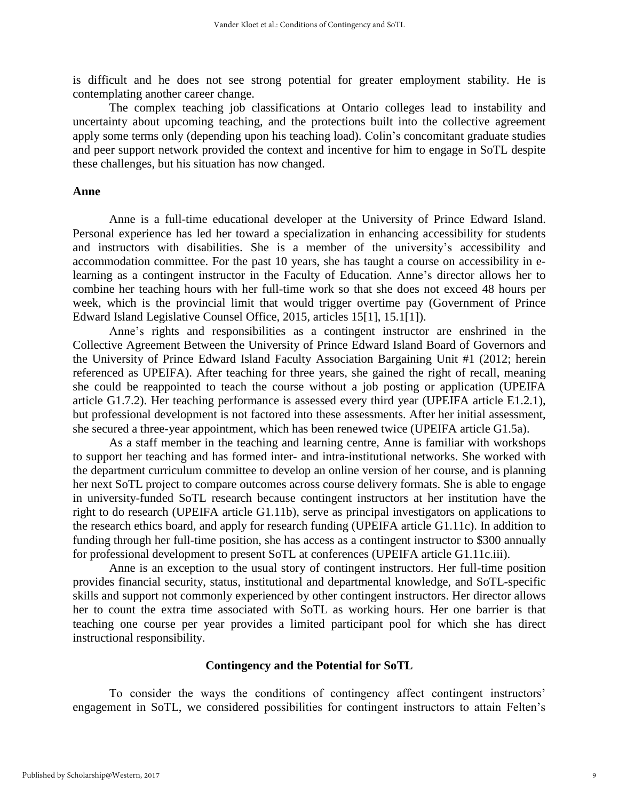is difficult and he does not see strong potential for greater employment stability. He is contemplating another career change.

The complex teaching job classifications at Ontario colleges lead to instability and uncertainty about upcoming teaching, and the protections built into the collective agreement apply some terms only (depending upon his teaching load). Colin's concomitant graduate studies and peer support network provided the context and incentive for him to engage in SoTL despite these challenges, but his situation has now changed.

#### **Anne**

Anne is a full-time educational developer at the University of Prince Edward Island. Personal experience has led her toward a specialization in enhancing accessibility for students and instructors with disabilities. She is a member of the university's accessibility and accommodation committee. For the past 10 years, she has taught a course on accessibility in elearning as a contingent instructor in the Faculty of Education. Anne's director allows her to combine her teaching hours with her full-time work so that she does not exceed 48 hours per week, which is the provincial limit that would trigger overtime pay (Government of Prince Edward Island Legislative Counsel Office, 2015, articles 15[1], 15.1[1]).

Anne's rights and responsibilities as a contingent instructor are enshrined in the Collective Agreement Between the University of Prince Edward Island Board of Governors and the University of Prince Edward Island Faculty Association Bargaining Unit #1 (2012; herein referenced as UPEIFA). After teaching for three years, she gained the right of recall, meaning she could be reappointed to teach the course without a job posting or application (UPEIFA article G1.7.2). Her teaching performance is assessed every third year (UPEIFA article E1.2.1), but professional development is not factored into these assessments. After her initial assessment, she secured a three-year appointment, which has been renewed twice (UPEIFA article G1.5a).

As a staff member in the teaching and learning centre, Anne is familiar with workshops to support her teaching and has formed inter- and intra-institutional networks. She worked with the department curriculum committee to develop an online version of her course, and is planning her next SoTL project to compare outcomes across course delivery formats. She is able to engage in university-funded SoTL research because contingent instructors at her institution have the right to do research (UPEIFA article G1.11b), serve as principal investigators on applications to the research ethics board, and apply for research funding (UPEIFA article G1.11c). In addition to funding through her full-time position, she has access as a contingent instructor to \$300 annually for professional development to present SoTL at conferences (UPEIFA article G1.11c.iii).

Anne is an exception to the usual story of contingent instructors. Her full-time position provides financial security, status, institutional and departmental knowledge, and SoTL-specific skills and support not commonly experienced by other contingent instructors. Her director allows her to count the extra time associated with SoTL as working hours. Her one barrier is that teaching one course per year provides a limited participant pool for which she has direct instructional responsibility.

#### **Contingency and the Potential for SoTL**

To consider the ways the conditions of contingency affect contingent instructors' engagement in SoTL, we considered possibilities for contingent instructors to attain Felten's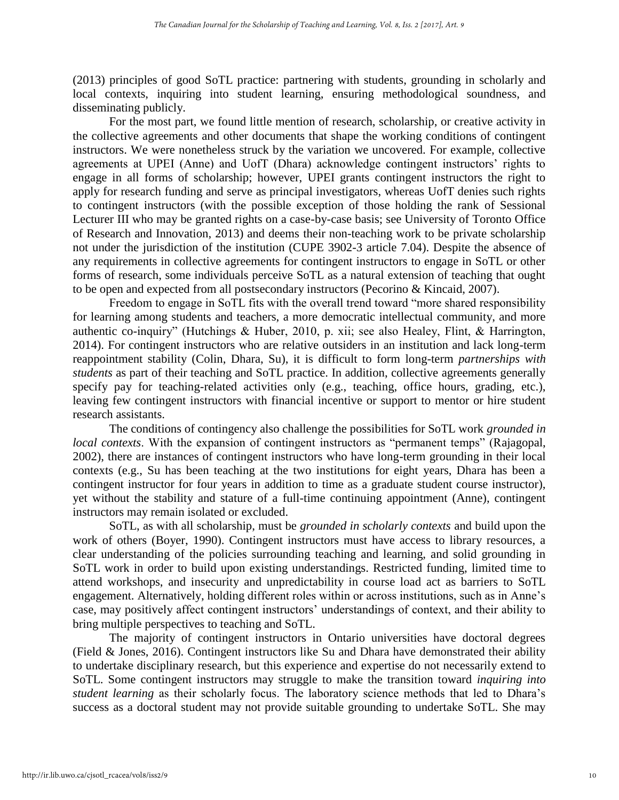(2013) principles of good SoTL practice: partnering with students, grounding in scholarly and local contexts, inquiring into student learning, ensuring methodological soundness, and disseminating publicly.

For the most part, we found little mention of research, scholarship, or creative activity in the collective agreements and other documents that shape the working conditions of contingent instructors. We were nonetheless struck by the variation we uncovered. For example, collective agreements at UPEI (Anne) and UofT (Dhara) acknowledge contingent instructors' rights to engage in all forms of scholarship; however, UPEI grants contingent instructors the right to apply for research funding and serve as principal investigators, whereas UofT denies such rights to contingent instructors (with the possible exception of those holding the rank of Sessional Lecturer III who may be granted rights on a case-by-case basis; see University of Toronto Office of Research and Innovation, 2013) and deems their non-teaching work to be private scholarship not under the jurisdiction of the institution (CUPE 3902-3 article 7.04). Despite the absence of any requirements in collective agreements for contingent instructors to engage in SoTL or other forms of research, some individuals perceive SoTL as a natural extension of teaching that ought to be open and expected from all postsecondary instructors (Pecorino & Kincaid, 2007).

Freedom to engage in SoTL fits with the overall trend toward "more shared responsibility for learning among students and teachers, a more democratic intellectual community, and more authentic co-inquiry" (Hutchings & Huber, 2010, p. xii; see also Healey, Flint, & Harrington, 2014). For contingent instructors who are relative outsiders in an institution and lack long-term reappointment stability (Colin, Dhara, Su), it is difficult to form long-term *partnerships with students* as part of their teaching and SoTL practice. In addition, collective agreements generally specify pay for teaching-related activities only (e.g., teaching, office hours, grading, etc.), leaving few contingent instructors with financial incentive or support to mentor or hire student research assistants.

The conditions of contingency also challenge the possibilities for SoTL work *grounded in local contexts*. With the expansion of contingent instructors as "permanent temps" (Rajagopal, 2002), there are instances of contingent instructors who have long-term grounding in their local contexts (e.g., Su has been teaching at the two institutions for eight years, Dhara has been a contingent instructor for four years in addition to time as a graduate student course instructor), yet without the stability and stature of a full-time continuing appointment (Anne), contingent instructors may remain isolated or excluded.

SoTL, as with all scholarship, must be *grounded in scholarly contexts* and build upon the work of others (Boyer, 1990). Contingent instructors must have access to library resources, a clear understanding of the policies surrounding teaching and learning, and solid grounding in SoTL work in order to build upon existing understandings. Restricted funding, limited time to attend workshops, and insecurity and unpredictability in course load act as barriers to SoTL engagement. Alternatively, holding different roles within or across institutions, such as in Anne's case, may positively affect contingent instructors' understandings of context, and their ability to bring multiple perspectives to teaching and SoTL.

The majority of contingent instructors in Ontario universities have doctoral degrees (Field & Jones, 2016). Contingent instructors like Su and Dhara have demonstrated their ability to undertake disciplinary research, but this experience and expertise do not necessarily extend to SoTL. Some contingent instructors may struggle to make the transition toward *inquiring into student learning* as their scholarly focus. The laboratory science methods that led to Dhara's success as a doctoral student may not provide suitable grounding to undertake SoTL. She may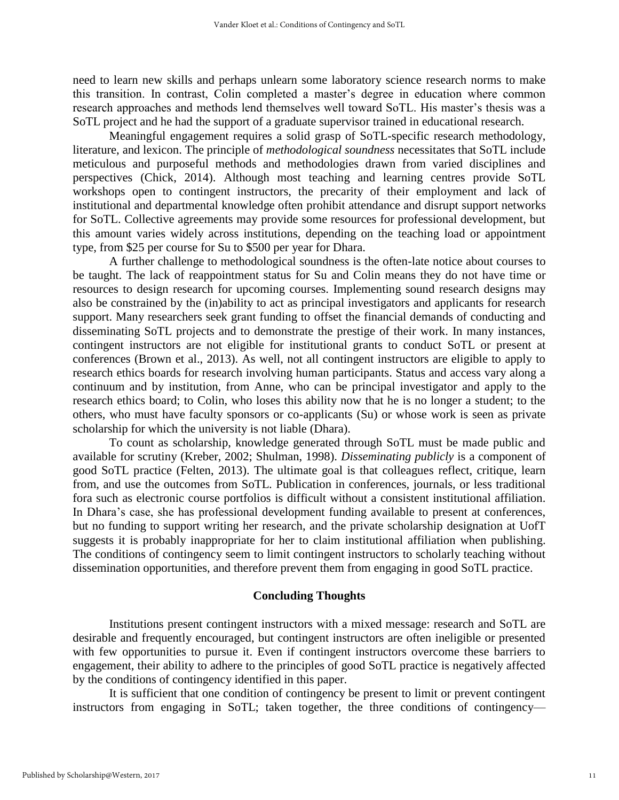need to learn new skills and perhaps unlearn some laboratory science research norms to make this transition. In contrast, Colin completed a master's degree in education where common research approaches and methods lend themselves well toward SoTL. His master's thesis was a SoTL project and he had the support of a graduate supervisor trained in educational research.

Meaningful engagement requires a solid grasp of SoTL-specific research methodology, literature, and lexicon. The principle of *methodological soundness* necessitates that SoTL include meticulous and purposeful methods and methodologies drawn from varied disciplines and perspectives (Chick, 2014). Although most teaching and learning centres provide SoTL workshops open to contingent instructors, the precarity of their employment and lack of institutional and departmental knowledge often prohibit attendance and disrupt support networks for SoTL. Collective agreements may provide some resources for professional development, but this amount varies widely across institutions, depending on the teaching load or appointment type, from \$25 per course for Su to \$500 per year for Dhara.

A further challenge to methodological soundness is the often-late notice about courses to be taught. The lack of reappointment status for Su and Colin means they do not have time or resources to design research for upcoming courses. Implementing sound research designs may also be constrained by the (in)ability to act as principal investigators and applicants for research support. Many researchers seek grant funding to offset the financial demands of conducting and disseminating SoTL projects and to demonstrate the prestige of their work. In many instances, contingent instructors are not eligible for institutional grants to conduct SoTL or present at conferences (Brown et al., 2013). As well, not all contingent instructors are eligible to apply to research ethics boards for research involving human participants. Status and access vary along a continuum and by institution, from Anne, who can be principal investigator and apply to the research ethics board; to Colin, who loses this ability now that he is no longer a student; to the others, who must have faculty sponsors or co-applicants (Su) or whose work is seen as private scholarship for which the university is not liable (Dhara).

To count as scholarship, knowledge generated through SoTL must be made public and available for scrutiny (Kreber, 2002; Shulman, 1998). *Disseminating publicly* is a component of good SoTL practice (Felten, 2013). The ultimate goal is that colleagues reflect, critique, learn from, and use the outcomes from SoTL. Publication in conferences, journals, or less traditional fora such as electronic course portfolios is difficult without a consistent institutional affiliation. In Dhara's case, she has professional development funding available to present at conferences, but no funding to support writing her research, and the private scholarship designation at UofT suggests it is probably inappropriate for her to claim institutional affiliation when publishing. The conditions of contingency seem to limit contingent instructors to scholarly teaching without dissemination opportunities, and therefore prevent them from engaging in good SoTL practice.

#### **Concluding Thoughts**

Institutions present contingent instructors with a mixed message: research and SoTL are desirable and frequently encouraged, but contingent instructors are often ineligible or presented with few opportunities to pursue it. Even if contingent instructors overcome these barriers to engagement, their ability to adhere to the principles of good SoTL practice is negatively affected by the conditions of contingency identified in this paper.

It is sufficient that one condition of contingency be present to limit or prevent contingent instructors from engaging in SoTL; taken together, the three conditions of contingency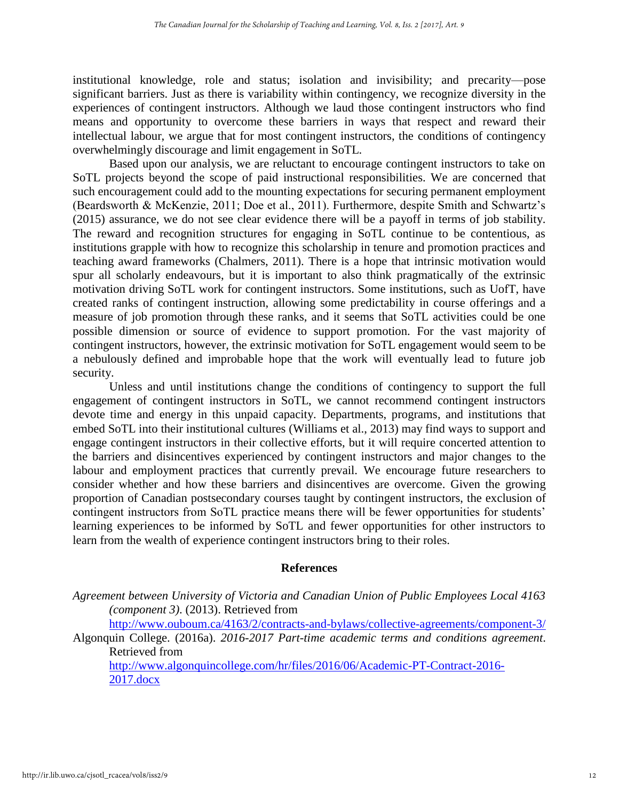institutional knowledge, role and status; isolation and invisibility; and precarity—pose significant barriers. Just as there is variability within contingency, we recognize diversity in the experiences of contingent instructors. Although we laud those contingent instructors who find means and opportunity to overcome these barriers in ways that respect and reward their intellectual labour, we argue that for most contingent instructors, the conditions of contingency overwhelmingly discourage and limit engagement in SoTL.

Based upon our analysis, we are reluctant to encourage contingent instructors to take on SoTL projects beyond the scope of paid instructional responsibilities. We are concerned that such encouragement could add to the mounting expectations for securing permanent employment (Beardsworth & McKenzie, 2011; Doe et al., 2011). Furthermore, despite Smith and Schwartz's (2015) assurance, we do not see clear evidence there will be a payoff in terms of job stability. The reward and recognition structures for engaging in SoTL continue to be contentious, as institutions grapple with how to recognize this scholarship in tenure and promotion practices and teaching award frameworks (Chalmers, 2011). There is a hope that intrinsic motivation would spur all scholarly endeavours, but it is important to also think pragmatically of the extrinsic motivation driving SoTL work for contingent instructors. Some institutions, such as UofT, have created ranks of contingent instruction, allowing some predictability in course offerings and a measure of job promotion through these ranks, and it seems that SoTL activities could be one possible dimension or source of evidence to support promotion. For the vast majority of contingent instructors, however, the extrinsic motivation for SoTL engagement would seem to be a nebulously defined and improbable hope that the work will eventually lead to future job security.

Unless and until institutions change the conditions of contingency to support the full engagement of contingent instructors in SoTL, we cannot recommend contingent instructors devote time and energy in this unpaid capacity. Departments, programs, and institutions that embed SoTL into their institutional cultures (Williams et al., 2013) may find ways to support and engage contingent instructors in their collective efforts, but it will require concerted attention to the barriers and disincentives experienced by contingent instructors and major changes to the labour and employment practices that currently prevail. We encourage future researchers to consider whether and how these barriers and disincentives are overcome. Given the growing proportion of Canadian postsecondary courses taught by contingent instructors, the exclusion of contingent instructors from SoTL practice means there will be fewer opportunities for students' learning experiences to be informed by SoTL and fewer opportunities for other instructors to learn from the wealth of experience contingent instructors bring to their roles.

#### **References**

*Agreement between University of Victoria and Canadian Union of Public Employees Local 4163 (component 3)*. (2013). Retrieved from

<http://www.ouboum.ca/4163/2/contracts-and-bylaws/collective-agreements/component-3/>

Algonquin College. (2016a). *2016-2017 Part-time academic terms and conditions agreement*. Retrieved from

[http://www.algonquincollege.com/hr/files/2016/06/Academic-PT-Contract-2016-](http://www.algonquincollege.com/hr/files/2016/06/Academic-PT-Contract-2016-2017.docx) [2017.docx](http://www.algonquincollege.com/hr/files/2016/06/Academic-PT-Contract-2016-2017.docx)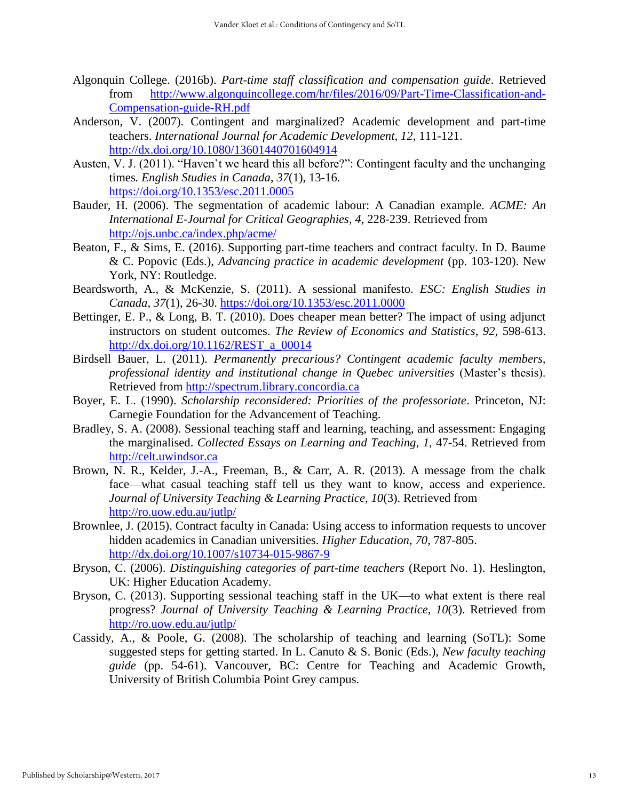- Algonquin College. (2016b). *Part-time staff classification and compensation guide*. Retrieved from [http://www.algonquincollege.com/hr/files/2016/09/Part-Time-Classification-and-](http://www.algonquincollege.com/hr/files/2016/09/Part-Time-Classification-and-Compensation-guide-RH.pdf)[Compensation-guide-RH.pdf](http://www.algonquincollege.com/hr/files/2016/09/Part-Time-Classification-and-Compensation-guide-RH.pdf)
- Anderson, V. (2007). Contingent and marginalized? Academic development and part-time teachers. *International Journal for Academic Development, 12*, 111-121. <http://dx.doi.org/10.1080/13601440701604914>
- Austen, V. J. (2011). "Haven't we heard this all before?": Contingent faculty and the unchanging times*. English Studies in Canada*, *37*(1), 13-16. <https://doi.org/10.1353/esc.2011.0005>
- Bauder, H. (2006). The segmentation of academic labour: A Canadian example. *ACME: An International E-Journal for Critical Geographies, 4*, 228-239. Retrieved from <http://ojs.unbc.ca/index.php/acme/>
- Beaton, F., & Sims, E. (2016). Supporting part-time teachers and contract faculty. In D. Baume & C. Popovic (Eds.), *Advancing practice in academic development* (pp. 103-120). New York, NY: Routledge.
- Beardsworth, A., & McKenzie, S. (2011). A sessional manifesto. *ESC: English Studies in Canada*, *37*(1), 26-30. <https://doi.org/10.1353/esc.2011.0000>
- Bettinger, E. P., & Long, B. T. (2010). Does cheaper mean better? The impact of using adjunct instructors on student outcomes. *The Review of Economics and Statistics*, *92*, 598-613. [http://dx.doi.org/10.1162/REST\\_a\\_00014](http://dx.doi.org/10.1162/REST_a_00014)
- Birdsell Bauer, L. (2011). *Permanently precarious? Contingent academic faculty members, professional identity and institutional change in Quebec universities* (Master's thesis). Retrieved from [http://spectrum.library.concordia.ca](http://spectrum.library.concordia.ca/)
- Boyer, E. L. (1990). *Scholarship reconsidered: Priorities of the professoriate*. Princeton, NJ: Carnegie Foundation for the Advancement of Teaching.
- Bradley, S. A. (2008). Sessional teaching staff and learning, teaching, and assessment: Engaging the marginalised. *Collected Essays on Learning and Teaching*, *1*, 47-54. Retrieved from [http://celt.uwindsor.ca](http://celt.uwindsor.ca/)
- Brown, N. R., Kelder, J.-A., Freeman, B., & Carr, A. R. (2013). A message from the chalk face—what casual teaching staff tell us they want to know, access and experience. *Journal of University Teaching & Learning Practice*, *10*(3). Retrieved from <http://ro.uow.edu.au/jutlp/>
- Brownlee, J. (2015). Contract faculty in Canada: Using access to information requests to uncover hidden academics in Canadian universities. *Higher Education*, *70*, 787-805. <http://dx.doi.org/10.1007/s10734-015-9867-9>
- Bryson, C. (2006). *Distinguishing categories of part-time teachers* (Report No. 1). Heslington, UK: Higher Education Academy.
- Bryson, C. (2013). Supporting sessional teaching staff in the UK—to what extent is there real progress? *Journal of University Teaching & Learning Practice, 10*(3). Retrieved from <http://ro.uow.edu.au/jutlp/>
- Cassidy, A., & Poole, G. (2008). The scholarship of teaching and learning (SoTL): Some suggested steps for getting started. In L. Canuto & S. Bonic (Eds.), *New faculty teaching guide* (pp. 54-61). Vancouver, BC: Centre for Teaching and Academic Growth, University of British Columbia Point Grey campus.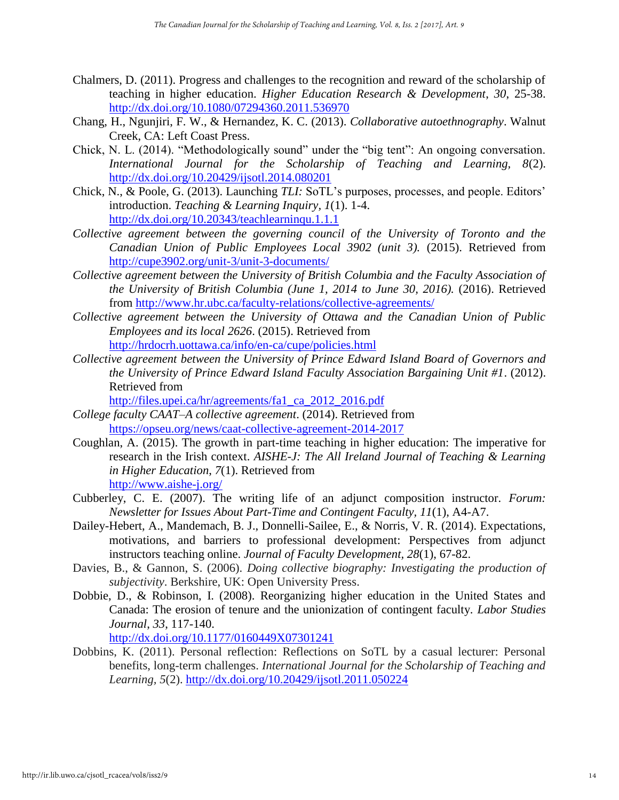- Chalmers, D. (2011). Progress and challenges to the recognition and reward of the scholarship of teaching in higher education. *Higher Education Research & Development*, *30*, 25-38. <http://dx.doi.org/10.1080/07294360.2011.536970>
- Chang, H., Ngunjiri, F. W., & Hernandez, K. C. (2013). *Collaborative autoethnography*. Walnut Creek, CA: Left Coast Press.
- Chick, N. L. (2014). "Methodologically sound" under the "big tent": An ongoing conversation. *International Journal for the Scholarship of Teaching and Learning, 8*(2). <http://dx.doi.org/10.20429/ijsotl.2014.080201>
- Chick, N., & Poole, G. (2013). Launching *TLI:* SoTL's purposes, processes, and people. Editors' introduction. *Teaching & Learning Inquiry, 1*(1). 1-4. <http://dx.doi.org/10.20343/teachlearninqu.1.1.1>
- *Collective agreement between the governing council of the University of Toronto and the Canadian Union of Public Employees Local 3902 (unit 3).* (2015). Retrieved from <http://cupe3902.org/unit-3/unit-3-documents/>
- *Collective agreement between the University of British Columbia and the Faculty Association of the University of British Columbia (June 1, 2014 to June 30, 2016).* (2016). Retrieved from<http://www.hr.ubc.ca/faculty-relations/collective-agreements/>
- *Collective agreement between the University of Ottawa and the Canadian Union of Public Employees and its local 2626*. (2015). Retrieved from <http://hrdocrh.uottawa.ca/info/en-ca/cupe/policies.html>
- *Collective agreement between the University of Prince Edward Island Board of Governors and the University of Prince Edward Island Faculty Association Bargaining Unit #1*. (2012). Retrieved from

[http://files.upei.ca/hr/agreements/fa1\\_ca\\_2012\\_2016.pdf](http://files.upei.ca/hr/agreements/fa1_ca_2012_2016.pdf)

- *College faculty CAAT–A collective agreement*. (2014). Retrieved from <https://opseu.org/news/caat-collective-agreement-2014-2017>
- Coughlan, A. (2015). The growth in part-time teaching in higher education: The imperative for research in the Irish context. *AISHE-J: The All Ireland Journal of Teaching & Learning in Higher Education*, *7*(1). Retrieved from <http://www.aishe-j.org/>
- Cubberley, C. E. (2007). The writing life of an adjunct composition instructor. *Forum: Newsletter for Issues About Part-Time and Contingent Faculty, 11*(1), A4-A7.
- Dailey-Hebert, A., Mandemach, B. J., Donnelli-Sailee, E., & Norris, V. R. (2014). Expectations, motivations, and barriers to professional development: Perspectives from adjunct instructors teaching online. *Journal of Faculty Development, 28*(1), 67-82.
- Davies, B., & Gannon, S. (2006). *Doing collective biography: Investigating the production of subjectivity*. Berkshire, UK: Open University Press.
- Dobbie, D., & Robinson, I. (2008). Reorganizing higher education in the United States and Canada: The erosion of tenure and the unionization of contingent faculty. *Labor Studies Journal*, *33*, 117-140.

<http://dx.doi.org/10.1177/0160449X07301241>

Dobbins, K. (2011). Personal reflection: Reflections on SoTL by a casual lecturer: Personal benefits, long-term challenges. *International Journal for the Scholarship of Teaching and Learning, 5*(2).<http://dx.doi.org/10.20429/ijsotl.2011.050224>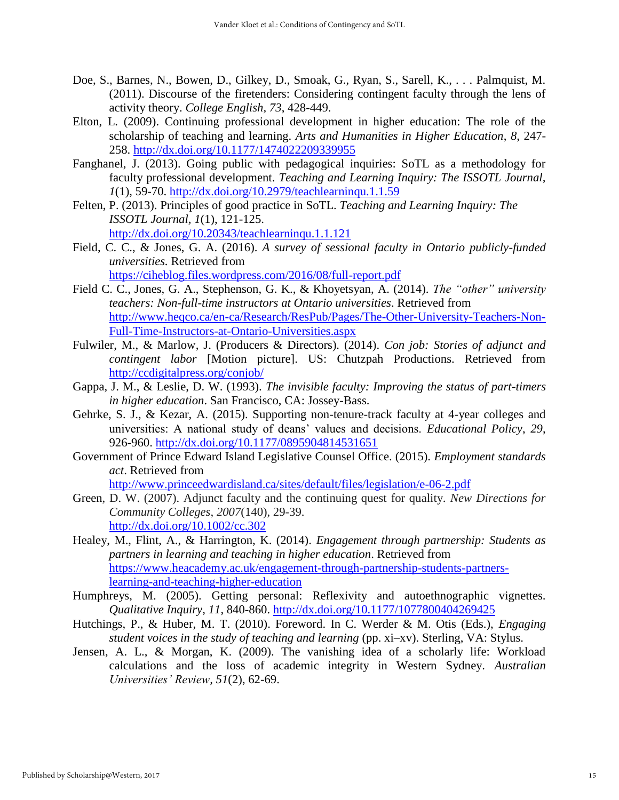- Doe, S., Barnes, N., Bowen, D., Gilkey, D., Smoak, G., Ryan, S., Sarell, K., . . . Palmquist, M. (2011). Discourse of the firetenders: Considering contingent faculty through the lens of activity theory. *College English, 73*, 428-449.
- Elton, L. (2009). Continuing professional development in higher education: The role of the scholarship of teaching and learning. *Arts and Humanities in Higher Education*, *8*, 247 258.<http://dx.doi.org/10.1177/1474022209339955>
- Fanghanel, J. (2013). Going public with pedagogical inquiries: SoTL as a methodology for faculty professional development. *Teaching and Learning Inquiry: The ISSOTL Journal, 1*(1), 59-70.<http://dx.doi.org/10.2979/teachlearninqu.1.1.59>
- Felten, P. (2013). Principles of good practice in SoTL. *Teaching and Learning Inquiry: The ISSOTL Journal, 1*(1), 121-125. <http://dx.doi.org/10.20343/teachlearninqu.1.1.121>
- Field, C. C., & Jones, G. A. (2016). *A survey of sessional faculty in Ontario publicly-funded universities.* Retrieved from <https://ciheblog.files.wordpress.com/2016/08/full-report.pdf>
- Field C. C., Jones, G. A., Stephenson, G. K., & Khoyetsyan, A. (2014). *The "other" university teachers: Non-full-time instructors at Ontario universities*. Retrieved from [http://www.heqco.ca/en-ca/Research/ResPub/Pages/The-Other-University-Teachers-Non-](http://www.heqco.ca/en-ca/Research/ResPub/Pages/The-Other-University-Teachers-Non-Full-Time-Instructors-at-Ontario-Universities.aspx)[Full-Time-Instructors-at-Ontario-Universities.aspx](http://www.heqco.ca/en-ca/Research/ResPub/Pages/The-Other-University-Teachers-Non-Full-Time-Instructors-at-Ontario-Universities.aspx)
- Fulwiler, M., & Marlow, J. (Producers & Directors). (2014). *Con job: Stories of adjunct and contingent labor* [Motion picture]. US: Chutzpah Productions. Retrieved from <http://ccdigitalpress.org/conjob/>
- Gappa, J. M., & Leslie, D. W. (1993). *The invisible faculty: Improving the status of part-timers in higher education*. San Francisco, CA: Jossey-Bass.
- Gehrke, S. J., & Kezar, A. (2015). Supporting non-tenure-track faculty at 4-year colleges and universities: A national study of deans' values and decisions. *Educational Policy*, *29*, 926-960.<http://dx.doi.org/10.1177/0895904814531651>
- Government of Prince Edward Island Legislative Counsel Office. (2015). *Employment standards act*. Retrieved from

<http://www.princeedwardisland.ca/sites/default/files/legislation/e-06-2.pdf>

- Green, D. W. (2007). Adjunct faculty and the continuing quest for quality. *New Directions for Community Colleges*, *2007*(140), 29-39. <http://dx.doi.org/10.1002/cc.302>
- Healey, M., Flint, A., & Harrington, K. (2014). *Engagement through partnership: Students as partners in learning and teaching in higher education*. Retrieved from [https://www.heacademy.ac.uk/engagement-through-partnership-students-partners](https://www.heacademy.ac.uk/engagement-through-partnership-students-partners-learning-and-teaching-higher-education)[learning-and-teaching-higher-education](https://www.heacademy.ac.uk/engagement-through-partnership-students-partners-learning-and-teaching-higher-education)
- Humphreys, M. (2005). Getting personal: Reflexivity and autoethnographic vignettes. *Qualitative Inquiry, 11*, 840-860.<http://dx.doi.org/10.1177/1077800404269425>
- Hutchings, P., & Huber, M. T. (2010). Foreword. In C. Werder & M. Otis (Eds.), *Engaging student voices in the study of teaching and learning* (pp. xi–xv). Sterling, VA: Stylus.
- Jensen, A. L., & Morgan, K. (2009). The vanishing idea of a scholarly life: Workload calculations and the loss of academic integrity in Western Sydney. *Australian Universities' Review, 51*(2), 62-69.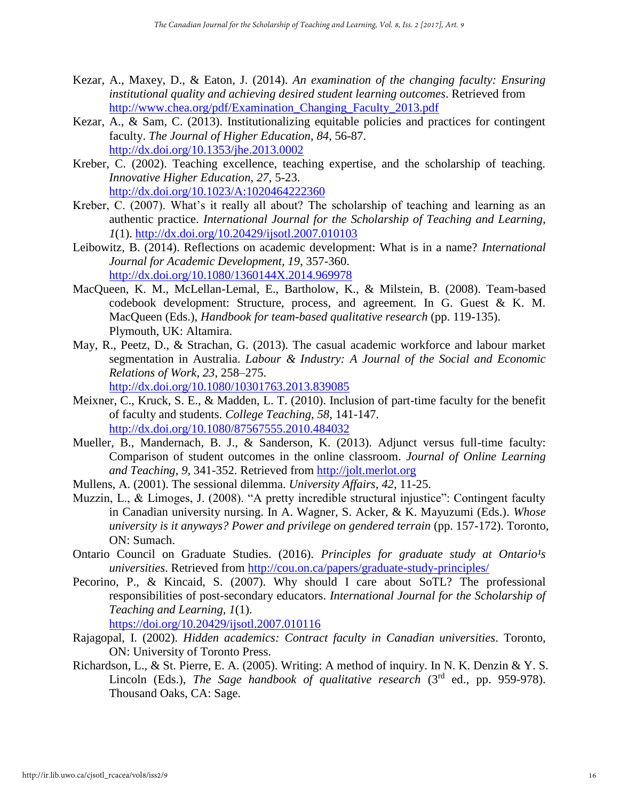- Kezar, A., Maxey, D., & Eaton, J. (2014). *An examination of the changing faculty: Ensuring institutional quality and achieving desired student learning outcomes*. Retrieved from [http://www.chea.org/pdf/Examination\\_Changing\\_Faculty\\_2013.pdf](http://www.chea.org/pdf/Examination_Changing_Faculty_2013.pdf)
- Kezar, A., & Sam, C. (2013). Institutionalizing equitable policies and practices for contingent faculty. *The Journal of Higher Education*, *84*, 56-87. <http://dx.doi.org/10.1353/jhe.2013.0002>
- Kreber, C. (2002). Teaching excellence, teaching expertise, and the scholarship of teaching. *Innovative Higher Education, 27*, 5-23. <http://dx.doi.org/10.1023/A:1020464222360>
- Kreber, C. (2007). What's it really all about? The scholarship of teaching and learning as an authentic practice. *International Journal for the Scholarship of Teaching and Learning*, *1*(1).<http://dx.doi.org/10.20429/ijsotl.2007.010103>
- Leibowitz, B. (2014). Reflections on academic development: What is in a name? *International Journal for Academic Development, 19*, 357-360. <http://dx.doi.org/10.1080/1360144X.2014.969978>
- MacQueen, K. M., McLellan-Lemal, E., Bartholow, K., & Milstein, B. (2008). Team-based codebook development: Structure, process, and agreement. In G. Guest & K. M. MacQueen (Eds.), *Handbook for team-based qualitative research* (pp. 119-135). Plymouth, UK: Altamira.
- May, R., Peetz, D., & Strachan, G. (2013). The casual academic workforce and labour market segmentation in Australia. *Labour & Industry: A Journal of the Social and Economic Relations of Work*, *23*, 258–275. <http://dx.doi.org/10.1080/10301763.2013.839085>
- Meixner, C., Kruck, S. E., & Madden, L. T. (2010). Inclusion of part-time faculty for the benefit of faculty and students. *College Teaching, 58*, 141-147. <http://dx.doi.org/10.1080/87567555.2010.484032>
- Mueller, B., Mandernach, B. J., & Sanderson, K. (2013). Adjunct versus full-time faculty: Comparison of student outcomes in the online classroom. *Journal of Online Learning and Teaching*, *9*, 341-352. Retrieved from [http://jolt.merlot.org](http://jolt.merlot.org/)
- Mullens, A. (2001). The sessional dilemma. *University Affairs, 42*, 11-25.
- Muzzin, L., & Limoges, J. (2008). "A pretty incredible structural injustice": Contingent faculty in Canadian university nursing. In A. Wagner, S. Acker, & K. Mayuzumi (Eds.). *Whose university is it anyways? Power and privilege on gendered terrain* (pp. 157-172). Toronto, ON: Sumach.
- Ontario Council on Graduate Studies. (2016). *Principles for graduate study at Ontario<sup>1</sup>s universities*. Retrieved from <http://cou.on.ca/papers/graduate-study-principles/>
- Pecorino, P., & Kincaid, S. (2007). Why should I care about SoTL? The professional responsibilities of post-secondary educators. *International Journal for the Scholarship of Teaching and Learning, 1*(1).

<https://doi.org/10.20429/ijsotl.2007.010116>

- Rajagopal, I. (2002). *Hidden academics: Contract faculty in Canadian universities*. Toronto, ON: University of Toronto Press.
- Richardson, L., & St. Pierre, E. A. (2005). Writing: A method of inquiry. In N. K. Denzin & Y. S. Lincoln (Eds.), *The Sage handbook of qualitative research* (3<sup>rd</sup> ed., pp. 959-978). Thousand Oaks, CA: Sage.